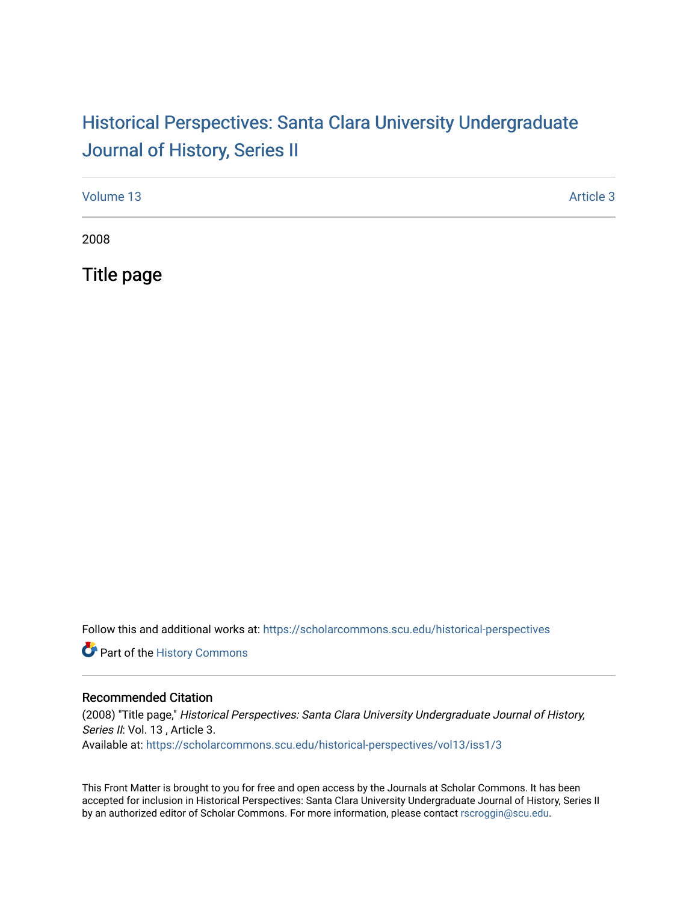## Historical Perspectiv[es: Santa Clara University Under](https://scholarcommons.scu.edu/historical-perspectives)graduate [Journal of History, Series II](https://scholarcommons.scu.edu/historical-perspectives)

| Volume 13 | Article 3 |
|-----------|-----------|
| 2008      |           |

Title page

Follow this and additional works at: [https://scholarcommons.scu.edu/historical-perspectives](https://scholarcommons.scu.edu/historical-perspectives?utm_source=scholarcommons.scu.edu%2Fhistorical-perspectives%2Fvol13%2Fiss1%2F3&utm_medium=PDF&utm_campaign=PDFCoverPages) 

Part of the [History Commons](http://network.bepress.com/hgg/discipline/489?utm_source=scholarcommons.scu.edu%2Fhistorical-perspectives%2Fvol13%2Fiss1%2F3&utm_medium=PDF&utm_campaign=PDFCoverPages) 

#### Recommended Citation

(2008) "Title page," Historical Perspectives: Santa Clara University Undergraduate Journal of History, Series II: Vol. 13, Article 3. Available at: [https://scholarcommons.scu.edu/historical-perspectives/vol13/iss1/3](https://scholarcommons.scu.edu/historical-perspectives/vol13/iss1/3?utm_source=scholarcommons.scu.edu%2Fhistorical-perspectives%2Fvol13%2Fiss1%2F3&utm_medium=PDF&utm_campaign=PDFCoverPages) 

This Front Matter is brought to you for free and open access by the Journals at Scholar Commons. It has been accepted for inclusion in Historical Perspectives: Santa Clara University Undergraduate Journal of History, Series II by an authorized editor of Scholar Commons. For more information, please contact [rscroggin@scu.edu.](mailto:rscroggin@scu.edu)